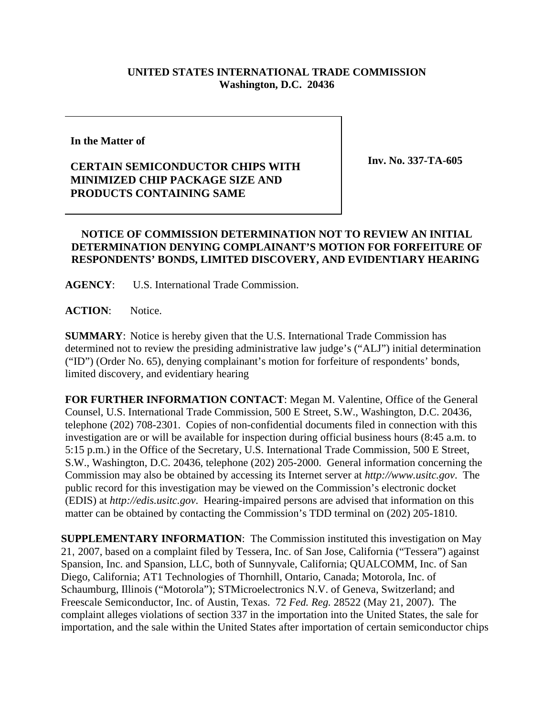## **UNITED STATES INTERNATIONAL TRADE COMMISSION Washington, D.C. 20436**

## **In the Matter of**

## **CERTAIN SEMICONDUCTOR CHIPS WITH MINIMIZED CHIP PACKAGE SIZE AND PRODUCTS CONTAINING SAME**

**Inv. No. 337-TA-605**

## **NOTICE OF COMMISSION DETERMINATION NOT TO REVIEW AN INITIAL DETERMINATION DENYING COMPLAINANT'S MOTION FOR FORFEITURE OF RESPONDENTS' BONDS, LIMITED DISCOVERY, AND EVIDENTIARY HEARING**

**AGENCY**: U.S. International Trade Commission.

**ACTION**: Notice.

**SUMMARY**: Notice is hereby given that the U.S. International Trade Commission has determined not to review the presiding administrative law judge's ("ALJ") initial determination ("ID") (Order No. 65), denying complainant's motion for forfeiture of respondents' bonds, limited discovery, and evidentiary hearing

**FOR FURTHER INFORMATION CONTACT**: Megan M. Valentine, Office of the General Counsel, U.S. International Trade Commission, 500 E Street, S.W., Washington, D.C. 20436, telephone (202) 708-2301. Copies of non-confidential documents filed in connection with this investigation are or will be available for inspection during official business hours (8:45 a.m. to 5:15 p.m.) in the Office of the Secretary, U.S. International Trade Commission, 500 E Street, S.W., Washington, D.C. 20436, telephone (202) 205-2000. General information concerning the Commission may also be obtained by accessing its Internet server at *http://www.usitc.gov*. The public record for this investigation may be viewed on the Commission's electronic docket (EDIS) at *http://edis.usitc.gov*. Hearing-impaired persons are advised that information on this matter can be obtained by contacting the Commission's TDD terminal on (202) 205-1810.

**SUPPLEMENTARY INFORMATION**: The Commission instituted this investigation on May 21, 2007, based on a complaint filed by Tessera, Inc. of San Jose, California ("Tessera") against Spansion, Inc. and Spansion, LLC, both of Sunnyvale, California; QUALCOMM, Inc. of San Diego, California; AT1 Technologies of Thornhill, Ontario, Canada; Motorola, Inc. of Schaumburg, Illinois ("Motorola"); STMicroelectronics N.V. of Geneva, Switzerland; and Freescale Semiconductor, Inc. of Austin, Texas. 72 *Fed. Reg.* 28522 (May 21, 2007). The complaint alleges violations of section 337 in the importation into the United States, the sale for importation, and the sale within the United States after importation of certain semiconductor chips